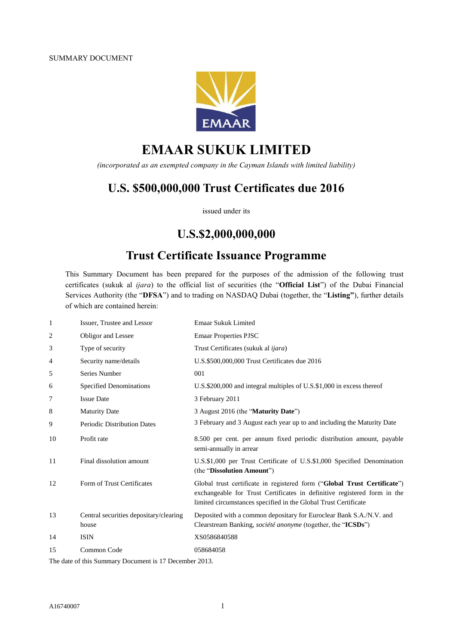

# **EMAAR SUKUK LIMITED**

*(incorporated as an exempted company in the Cayman Islands with limited liability)*

## **U.S. \$500,000,000 Trust Certificates due 2016**

issued under its

## **U.S.\$2,000,000,000**

## **Trust Certificate Issuance Programme**

This Summary Document has been prepared for the purposes of the admission of the following trust certificates (sukuk al *ijara*) to the official list of securities (the "**Official List**") of the Dubai Financial Services Authority (the "**DFSA**") and to trading on NASDAQ Dubai (together, the "**Listing"**), further details of which are contained herein:

| 1  | Issuer, Trustee and Lessor                      | <b>Emaar Sukuk Limited</b>                                                                                                                                                                                              |
|----|-------------------------------------------------|-------------------------------------------------------------------------------------------------------------------------------------------------------------------------------------------------------------------------|
| 2  | Obligor and Lessee                              | <b>Emaar Properties PJSC</b>                                                                                                                                                                                            |
| 3  | Type of security                                | Trust Certificates (sukuk al <i>ijara</i> )                                                                                                                                                                             |
| 4  | Security name/details                           | U.S.\$500,000,000 Trust Certificates due 2016                                                                                                                                                                           |
| 5  | Series Number                                   | 001                                                                                                                                                                                                                     |
| 6  | Specified Denominations                         | U.S.\$200,000 and integral multiples of U.S.\$1,000 in excess thereof                                                                                                                                                   |
| 7  | <b>Issue Date</b>                               | 3 February 2011                                                                                                                                                                                                         |
| 8  | <b>Maturity Date</b>                            | 3 August 2016 (the "Maturity Date")                                                                                                                                                                                     |
| 9  | <b>Periodic Distribution Dates</b>              | 3 February and 3 August each year up to and including the Maturity Date                                                                                                                                                 |
| 10 | Profit rate                                     | 8.500 per cent. per annum fixed periodic distribution amount, payable<br>semi-annually in arrear                                                                                                                        |
| 11 | Final dissolution amount                        | U.S.\$1,000 per Trust Certificate of U.S.\$1,000 Specified Denomination<br>(the "Dissolution Amount")                                                                                                                   |
| 12 | Form of Trust Certificates                      | Global trust certificate in registered form ("Global Trust Certificate")<br>exchangeable for Trust Certificates in definitive registered form in the<br>limited circumstances specified in the Global Trust Certificate |
| 13 | Central securities depositary/clearing<br>house | Deposited with a common depositary for Euroclear Bank S.A./N.V. and<br>Clearstream Banking, <i>société anonyme</i> (together, the " <b>ICSDs</b> ")                                                                     |
| 14 | <b>ISIN</b>                                     | XS0586840588                                                                                                                                                                                                            |
| 15 | Common Code                                     | 058684058                                                                                                                                                                                                               |
|    |                                                 |                                                                                                                                                                                                                         |

The date of this Summary Document is 17 December 2013.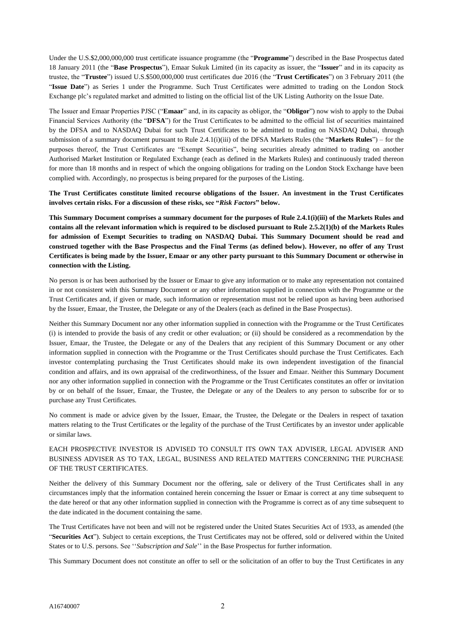Under the U.S.\$2,000,000,000 trust certificate issuance programme (the "**Programme**") described in the Base Prospectus dated 18 January 2011 (the "**Base Prospectus**"), Emaar Sukuk Limited (in its capacity as issuer, the "**Issuer**" and in its capacity as trustee, the "**Trustee**") issued U.S.\$500,000,000 trust certificates due 2016 (the "**Trust Certificates**") on 3 February 2011 (the "**Issue Date**") as Series 1 under the Programme. Such Trust Certificates were admitted to trading on the London Stock Exchange plc's regulated market and admitted to listing on the official list of the UK Listing Authority on the Issue Date.

The Issuer and Emaar Properties PJSC ("**Emaar**" and, in its capacity as obligor, the "**Obligor**") now wish to apply to the Dubai Financial Services Authority (the "**DFSA**") for the Trust Certificates to be admitted to the official list of securities maintained by the DFSA and to NASDAQ Dubai for such Trust Certificates to be admitted to trading on NASDAQ Dubai, through submission of a summary document pursuant to Rule  $2.4.1(i)(iii)$  of the DFSA Markets Rules (the "**Markets Rules**") – for the purposes thereof, the Trust Certificates are "Exempt Securities", being securities already admitted to trading on another Authorised Market Institution or Regulated Exchange (each as defined in the Markets Rules) and continuously traded thereon for more than 18 months and in respect of which the ongoing obligations for trading on the London Stock Exchange have been complied with. Accordingly, no prospectus is being prepared for the purposes of the Listing.

**The Trust Certificates constitute limited recourse obligations of the Issuer. An investment in the Trust Certificates involves certain risks. For a discussion of these risks, see "***Risk Factors***" below.**

**This Summary Document comprises a summary document for the purposes of Rule 2.4.1(i)(iii) of the Markets Rules and contains all the relevant information which is required to be disclosed pursuant to Rule 2.5.2(1)(b) of the Markets Rules for admission of Exempt Securities to trading on NASDAQ Dubai. This Summary Document should be read and construed together with the Base Prospectus and the Final Terms (as defined below). However, no offer of any Trust Certificates is being made by the Issuer, Emaar or any other party pursuant to this Summary Document or otherwise in connection with the Listing.**

No person is or has been authorised by the Issuer or Emaar to give any information or to make any representation not contained in or not consistent with this Summary Document or any other information supplied in connection with the Programme or the Trust Certificates and, if given or made, such information or representation must not be relied upon as having been authorised by the Issuer, Emaar, the Trustee, the Delegate or any of the Dealers (each as defined in the Base Prospectus).

Neither this Summary Document nor any other information supplied in connection with the Programme or the Trust Certificates (i) is intended to provide the basis of any credit or other evaluation; or (ii) should be considered as a recommendation by the Issuer, Emaar, the Trustee, the Delegate or any of the Dealers that any recipient of this Summary Document or any other information supplied in connection with the Programme or the Trust Certificates should purchase the Trust Certificates. Each investor contemplating purchasing the Trust Certificates should make its own independent investigation of the financial condition and affairs, and its own appraisal of the creditworthiness, of the Issuer and Emaar. Neither this Summary Document nor any other information supplied in connection with the Programme or the Trust Certificates constitutes an offer or invitation by or on behalf of the Issuer, Emaar, the Trustee, the Delegate or any of the Dealers to any person to subscribe for or to purchase any Trust Certificates.

No comment is made or advice given by the Issuer, Emaar, the Trustee, the Delegate or the Dealers in respect of taxation matters relating to the Trust Certificates or the legality of the purchase of the Trust Certificates by an investor under applicable or similar laws.

#### EACH PROSPECTIVE INVESTOR IS ADVISED TO CONSULT ITS OWN TAX ADVISER, LEGAL ADVISER AND BUSINESS ADVISER AS TO TAX, LEGAL, BUSINESS AND RELATED MATTERS CONCERNING THE PURCHASE OF THE TRUST CERTIFICATES.

Neither the delivery of this Summary Document nor the offering, sale or delivery of the Trust Certificates shall in any circumstances imply that the information contained herein concerning the Issuer or Emaar is correct at any time subsequent to the date hereof or that any other information supplied in connection with the Programme is correct as of any time subsequent to the date indicated in the document containing the same.

The Trust Certificates have not been and will not be registered under the United States Securities Act of 1933, as amended (the "**Securities Act**"). Subject to certain exceptions, the Trust Certificates may not be offered, sold or delivered within the United States or to U.S. persons. See ''*Subscription and Sale*'' in the Base Prospectus for further information.

This Summary Document does not constitute an offer to sell or the solicitation of an offer to buy the Trust Certificates in any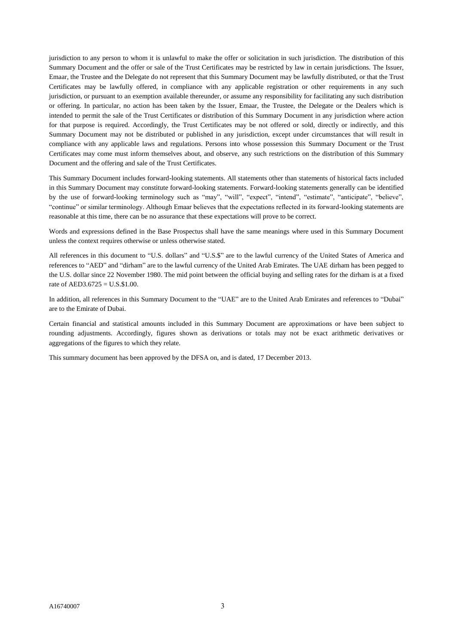jurisdiction to any person to whom it is unlawful to make the offer or solicitation in such jurisdiction. The distribution of this Summary Document and the offer or sale of the Trust Certificates may be restricted by law in certain jurisdictions. The Issuer, Emaar, the Trustee and the Delegate do not represent that this Summary Document may be lawfully distributed, or that the Trust Certificates may be lawfully offered, in compliance with any applicable registration or other requirements in any such jurisdiction, or pursuant to an exemption available thereunder, or assume any responsibility for facilitating any such distribution or offering. In particular, no action has been taken by the Issuer, Emaar, the Trustee, the Delegate or the Dealers which is intended to permit the sale of the Trust Certificates or distribution of this Summary Document in any jurisdiction where action for that purpose is required. Accordingly, the Trust Certificates may be not offered or sold, directly or indirectly, and this Summary Document may not be distributed or published in any jurisdiction, except under circumstances that will result in compliance with any applicable laws and regulations. Persons into whose possession this Summary Document or the Trust Certificates may come must inform themselves about, and observe, any such restrictions on the distribution of this Summary Document and the offering and sale of the Trust Certificates.

This Summary Document includes forward-looking statements. All statements other than statements of historical facts included in this Summary Document may constitute forward-looking statements. Forward-looking statements generally can be identified by the use of forward-looking terminology such as "may", "will", "expect", "intend", "estimate", "anticipate", "believe", "continue" or similar terminology. Although Emaar believes that the expectations reflected in its forward-looking statements are reasonable at this time, there can be no assurance that these expectations will prove to be correct.

Words and expressions defined in the Base Prospectus shall have the same meanings where used in this Summary Document unless the context requires otherwise or unless otherwise stated.

All references in this document to "U.S. dollars" and "U.S.\$" are to the lawful currency of the United States of America and references to "AED" and "dirham" are to the lawful currency of the United Arab Emirates. The UAE dirham has been pegged to the U.S. dollar since 22 November 1980. The mid point between the official buying and selling rates for the dirham is at a fixed rate of AED3.6725 = U.S.\$1.00.

In addition, all references in this Summary Document to the "UAE" are to the United Arab Emirates and references to "Dubai" are to the Emirate of Dubai.

Certain financial and statistical amounts included in this Summary Document are approximations or have been subject to rounding adjustments. Accordingly, figures shown as derivations or totals may not be exact arithmetic derivatives or aggregations of the figures to which they relate.

This summary document has been approved by the DFSA on, and is dated, 17 December 2013.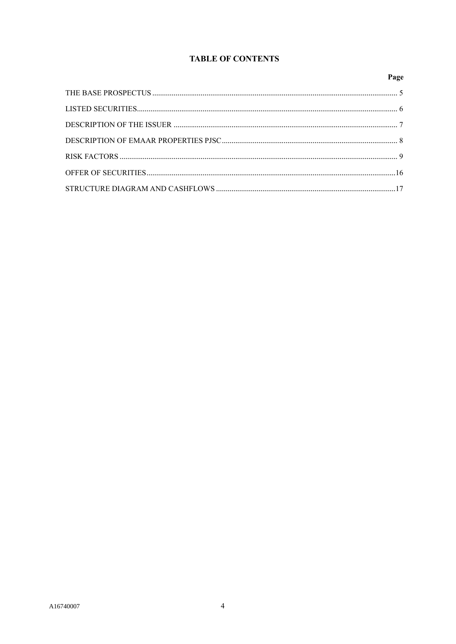## **TABLE OF CONTENTS**

## Page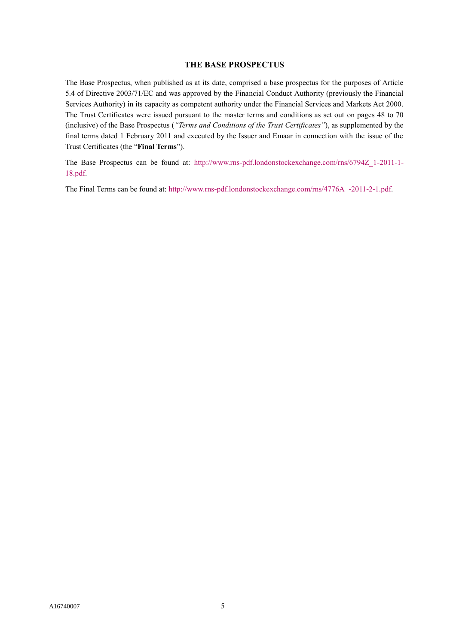#### **THE BASE PROSPECTUS**

The Base Prospectus, when published as at its date, comprised a base prospectus for the purposes of Article 5.4 of Directive 2003/71/EC and was approved by the Financial Conduct Authority (previously the Financial Services Authority) in its capacity as competent authority under the Financial Services and Markets Act 2000. The Trust Certificates were issued pursuant to the master terms and conditions as set out on pages 48 to 70 (inclusive) of the Base Prospectus (*"Terms and Conditions of the Trust Certificates"*), as supplemented by the final terms dated 1 February 2011 and executed by the Issuer and Emaar in connection with the issue of the Trust Certificates (the "**Final Terms**").

The Base Prospectus can be found at: [http://www.rns-pdf.londonstockexchange.com/rns/6794Z\\_1-2011-1-](http://www.rns-pdf.londonstockexchange.com/rns/6794Z_1-2011-1-18.pdf) [18.pdf.](http://www.rns-pdf.londonstockexchange.com/rns/6794Z_1-2011-1-18.pdf)

The Final Terms can be found at: [http://www.rns-pdf.londonstockexchange.com/rns/4776A\\_-2011-2-1.pdf.](http://www.rns-pdf.londonstockexchange.com/rns/4776A_-2011-2-1.pdf)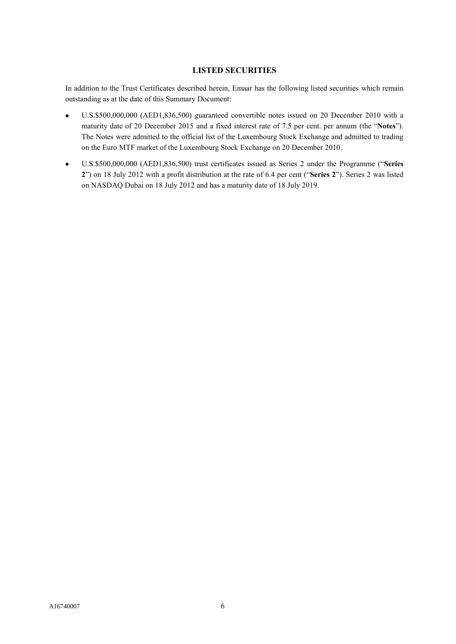## **LISTED SECURITIES**

In addition to the Trust Certificates described herein, Emaar has the following listed securities which remain outstanding as at the date of this Summary Document:

- U.S.\$500,000,000 (AED1,836,500) guaranteed convertible notes issued on 20 December 2010 with a maturity date of 20 December 2015 and a fixed interest rate of 7.5 per cent. per annum (the "**Notes**"). The Notes were admitted to the official list of the Luxembourg Stock Exchange and admitted to trading on the Euro MTF market of the Luxembourg Stock Exchange on 20 December 2010.
- U.S.\$500,000,000 (AED1,836,500) trust certificates issued as Series 2 under the Programme ("**Series 2**") on 18 July 2012 with a profit distribution at the rate of 6.4 per cent ("**Series 2**"). Series 2 was listed on NASDAQ Dubai on 18 July 2012 and has a maturity date of 18 July 2019.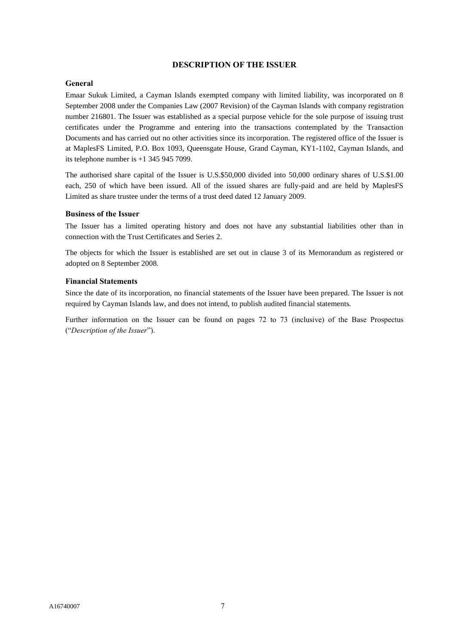#### **DESCRIPTION OF THE ISSUER**

#### **General**

Emaar Sukuk Limited, a Cayman Islands exempted company with limited liability, was incorporated on 8 September 2008 under the Companies Law (2007 Revision) of the Cayman Islands with company registration number 216801. The Issuer was established as a special purpose vehicle for the sole purpose of issuing trust certificates under the Programme and entering into the transactions contemplated by the Transaction Documents and has carried out no other activities since its incorporation. The registered office of the Issuer is at MaplesFS Limited, P.O. Box 1093, Queensgate House, Grand Cayman, KY1-1102, Cayman Islands, and its telephone number is  $+1$  345 945 7099.

The authorised share capital of the Issuer is U.S.\$50,000 divided into 50,000 ordinary shares of U.S.\$1.00 each, 250 of which have been issued. All of the issued shares are fully-paid and are held by MaplesFS Limited as share trustee under the terms of a trust deed dated 12 January 2009.

#### **Business of the Issuer**

The Issuer has a limited operating history and does not have any substantial liabilities other than in connection with the Trust Certificates and Series 2.

The objects for which the Issuer is established are set out in clause 3 of its Memorandum as registered or adopted on 8 September 2008.

#### **Financial Statements**

Since the date of its incorporation, no financial statements of the Issuer have been prepared. The Issuer is not required by Cayman Islands law, and does not intend, to publish audited financial statements.

Further information on the Issuer can be found on pages 72 to 73 (inclusive) of the Base Prospectus ("*Description of the Issuer*").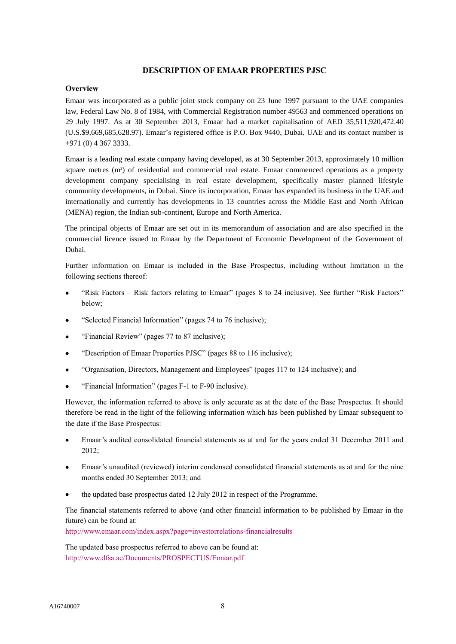#### **DESCRIPTION OF EMAAR PROPERTIES PJSC**

#### **Overview**

Emaar was incorporated as a public joint stock company on 23 June 1997 pursuant to the UAE companies law, Federal Law No. 8 of 1984, with Commercial Registration number 49563 and commenced operations on 29 July 1997. As at 30 September 2013, Emaar had a market capitalisation of AED 35,511,920,472.40 (U.S.\$9,669,685,628.97). Emaar's registered office is P.O. Box 9440, Dubai, UAE and its contact number is +971 (0) 4 367 3333.

Emaar is a leading real estate company having developed, as at 30 September 2013, approximately 10 million square metres (m<sup>2</sup>) of residential and commercial real estate. Emaar commenced operations as a property development company specialising in real estate development, specifically master planned lifestyle community developments, in Dubai. Since its incorporation, Emaar has expanded its business in the UAE and internationally and currently has developments in 13 countries across the Middle East and North African (MENA) region, the Indian sub-continent, Europe and North America.

The principal objects of Emaar are set out in its memorandum of association and are also specified in the commercial licence issued to Emaar by the Department of Economic Development of the Government of Dubai.

Further information on Emaar is included in the Base Prospectus, including without limitation in the following sections thereof:

- "Risk Factors Risk factors relating to Emaar" (pages 8 to 24 inclusive). See further "Risk Factors" below;
- "Selected Financial Information" (pages 74 to 76 inclusive);
- "Financial Review" (pages 77 to 87 inclusive);
- "Description of Emaar Properties PJSC" (pages 88 to 116 inclusive);
- "Organisation, Directors, Management and Employees" (pages 117 to 124 inclusive); and
- "Financial Information" (pages F-1 to F-90 inclusive).

However, the information referred to above is only accurate as at the date of the Base Prospectus. It should therefore be read in the light of the following information which has been published by Emaar subsequent to the date if the Base Prospectus:

- Emaar's audited consolidated financial statements as at and for the years ended 31 December 2011 and 2012;
- Emaar's unaudited (reviewed) interim condensed consolidated financial statements as at and for the nine months ended 30 September 2013; and
- the updated base prospectus dated 12 July 2012 in respect of the Programme.

The financial statements referred to above (and other financial information to be published by Emaar in the future) can be found at:

<http://www.emaar.com/index.aspx?page=investorrelations-financialresults>

The updated base prospectus referred to above can be found at: <http://www.dfsa.ae/Documents/PROSPECTUS/Emaar.pdf>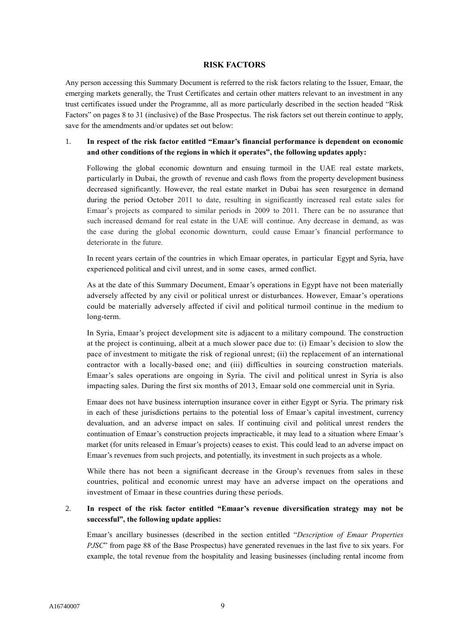#### **RISK FACTORS**

Any person accessing this Summary Document is referred to the risk factors relating to the Issuer, Emaar, the emerging markets generally, the Trust Certificates and certain other matters relevant to an investment in any trust certificates issued under the Programme, all as more particularly described in the section headed "Risk Factors" on pages 8 to 31 (inclusive) of the Base Prospectus. The risk factors set out therein continue to apply, save for the amendments and/or updates set out below:

## 1. **In respect of the risk factor entitled "Emaar's financial performance is dependent on economic and other conditions of the regions in which it operates", the following updates apply:**

Following the global economic downturn and ensuing turmoil in the UAE real estate markets, particularly in Dubai, the growth of revenue and cash flows from the property development business decreased significantly. However, the real estate market in Dubai has seen resurgence in demand during the period October 2011 to date, resulting in significantly increased real estate sales for Emaar's projects as compared to similar periods in 2009 to 2011. There can be no assurance that such increased demand for real estate in the UAE will continue. Any decrease in demand, as was the case during the global economic downturn, could cause Emaar's financial performance to deteriorate in the future.

In recent years certain of the countries in which Emaar operates, in particular Egypt and Syria, have experienced political and civil unrest, and in some cases, armed conflict.

As at the date of this Summary Document, Emaar's operations in Egypt have not been materially adversely affected by any civil or political unrest or disturbances. However, Emaar's operations could be materially adversely affected if civil and political turmoil continue in the medium to long-term.

In Syria, Emaar's project development site is adjacent to a military compound. The construction at the project is continuing, albeit at a much slower pace due to: (i) Emaar's decision to slow the pace of investment to mitigate the risk of regional unrest; (ii) the replacement of an international contractor with a locally-based one; and (iii) difficulties in sourcing construction materials. Emaar's sales operations are ongoing in Syria. The civil and political unrest in Syria is also impacting sales. During the first six months of 2013, Emaar sold one commercial unit in Syria.

Emaar does not have business interruption insurance cover in either Egypt or Syria. The primary risk in each of these jurisdictions pertains to the potential loss of Emaar's capital investment, currency devaluation, and an adverse impact on sales. If continuing civil and political unrest renders the continuation of Emaar's construction projects impracticable, it may lead to a situation where Emaar's market (for units released in Emaar's projects) ceases to exist. This could lead to an adverse impact on Emaar's revenues from such projects, and potentially, its investment in such projects as a whole.

While there has not been a significant decrease in the Group's revenues from sales in these countries, political and economic unrest may have an adverse impact on the operations and investment of Emaar in these countries during these periods.

## 2. **In respect of the risk factor entitled "Emaar's revenue diversification strategy may not be successful", the following update applies:**

Emaar's ancillary businesses (described in the section entitled "*Description of Emaar Properties PJSC*" from page 88 of the Base Prospectus) have generated revenues in the last five to six years. For example, the total revenue from the hospitality and leasing businesses (including rental income from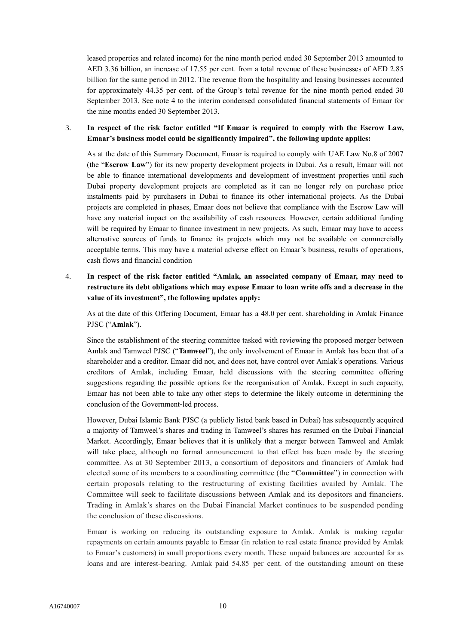leased properties and related income) for the nine month period ended 30 September 2013 amounted to AED 3.36 billion, an increase of 17.55 per cent. from a total revenue of these businesses of AED 2.85 billion for the same period in 2012. The revenue from the hospitality and leasing businesses accounted for approximately 44.35 per cent. of the Group's total revenue for the nine month period ended 30 September 2013. See note 4 to the interim condensed consolidated financial statements of Emaar for the nine months ended 30 September 2013.

## 3. **In respect of the risk factor entitled "If Emaar is required to comply with the Escrow Law, Emaar's business model could be significantly impaired", the following update applies:**

As at the date of this Summary Document, Emaar is required to comply with UAE Law No.8 of 2007 (the "**Escrow Law**") for its new property development projects in Dubai. As a result, Emaar will not be able to finance international developments and development of investment properties until such Dubai property development projects are completed as it can no longer rely on purchase price instalments paid by purchasers in Dubai to finance its other international projects. As the Dubai projects are completed in phases, Emaar does not believe that compliance with the Escrow Law will have any material impact on the availability of cash resources. However, certain additional funding will be required by Emaar to finance investment in new projects. As such, Emaar may have to access alternative sources of funds to finance its projects which may not be available on commercially acceptable terms. This may have a material adverse effect on Emaar's business, results of operations, cash flows and financial condition

4. **In respect of the risk factor entitled "Amlak, an associated company of Emaar, may need to restructure its debt obligations which may expose Emaar to loan write offs and a decrease in the value of its investment", the following updates apply:**

As at the date of this Offering Document, Emaar has a 48.0 per cent. shareholding in Amlak Finance PJSC ("**Amlak**").

Since the establishment of the steering committee tasked with reviewing the proposed merger between Amlak and Tamweel PJSC ("**Tamweel**"), the only involvement of Emaar in Amlak has been that of a shareholder and a creditor. Emaar did not, and does not, have control over Amlak's operations. Various creditors of Amlak, including Emaar, held discussions with the steering committee offering suggestions regarding the possible options for the reorganisation of Amlak. Except in such capacity, Emaar has not been able to take any other steps to determine the likely outcome in determining the conclusion of the Government-led process.

However, Dubai Islamic Bank PJSC (a publicly listed bank based in Dubai) has subsequently acquired a majority of Tamweel's shares and trading in Tamweel's shares has resumed on the Dubai Financial Market. Accordingly, Emaar believes that it is unlikely that a merger between Tamweel and Amlak will take place, although no formal announcement to that effect has been made by the steering committee. As at 30 September 2013, a consortium of depositors and financiers of Amlak had elected some of its members to a coordinating committee (the "**Committee**") in connection with certain proposals relating to the restructuring of existing facilities availed by Amlak. The Committee will seek to facilitate discussions between Amlak and its depositors and financiers. Trading in Amlak's shares on the Dubai Financial Market continues to be suspended pending the conclusion of these discussions.

Emaar is working on reducing its outstanding exposure to Amlak. Amlak is making regular repayments on certain amounts payable to Emaar (in relation to real estate finance provided by Amlak to Emaar's customers) in small proportions every month. These unpaid balances are accounted for as loans and are interest-bearing. Amlak paid 54.85 per cent. of the outstanding amount on these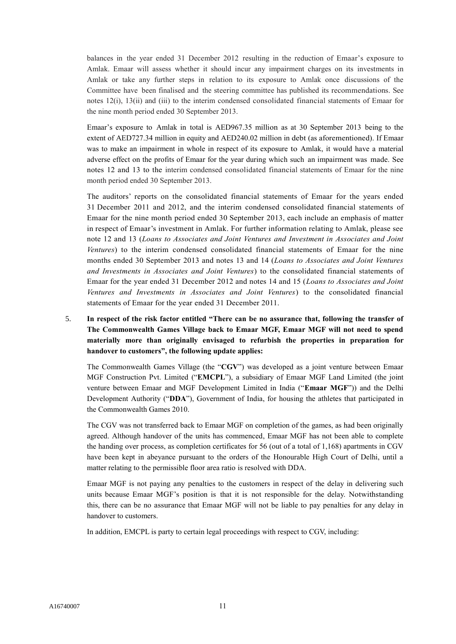balances in the year ended 31 December 2012 resulting in the reduction of Emaar's exposure to Amlak. Emaar will assess whether it should incur any impairment charges on its investments in Amlak or take any further steps in relation to its exposure to Amlak once discussions of the Committee have been finalised and the steering committee has published its recommendations. See notes 12(i), 13(ii) and (iii) to the interim condensed consolidated financial statements of Emaar for the nine month period ended 30 September 2013.

Emaar's exposure to Amlak in total is AED967.35 million as at 30 September 2013 being to the extent of AED727.34 million in equity and AED240.02 million in debt (as aforementioned). If Emaar was to make an impairment in whole in respect of its exposure to Amlak, it would have a material adverse effect on the profits of Emaar for the year during which such an impairment was made. See notes 12 and 13 to the interim condensed consolidated financial statements of Emaar for the nine month period ended 30 September 2013.

The auditors' reports on the consolidated financial statements of Emaar for the years ended 31 December 2011 and 2012, and the interim condensed consolidated financial statements of Emaar for the nine month period ended 30 September 2013, each include an emphasis of matter in respect of Emaar's investment in Amlak. For further information relating to Amlak, please see note 12 and 13 (*Loans to Associates and Joint Ventures and Investment in Associates and Joint Ventures*) to the interim condensed consolidated financial statements of Emaar for the nine months ended 30 September 2013 and notes 13 and 14 (*Loans to Associates and Joint Ventures and Investments in Associates and Joint Ventures*) to the consolidated financial statements of Emaar for the year ended 31 December 2012 and notes 14 and 15 (*Loans to Associates and Joint Ventures and Investments in Associates and Joint Ventures*) to the consolidated financial statements of Emaar for the year ended 31 December 2011.

## 5. **In respect of the risk factor entitled "There can be no assurance that, following the transfer of The Commonwealth Games Village back to Emaar MGF, Emaar MGF will not need to spend materially more than originally envisaged to refurbish the properties in preparation for handover to customers", the following update applies:**

The Commonwealth Games Village (the "**CGV**") was developed as a joint venture between Emaar MGF Construction Pvt. Limited ("**EMCPL**"), a subsidiary of Emaar MGF Land Limited (the joint venture between Emaar and MGF Development Limited in India ("**Emaar MGF**")) and the Delhi Development Authority ("**DDA**"), Government of India, for housing the athletes that participated in the Commonwealth Games 2010.

The CGV was not transferred back to Emaar MGF on completion of the games, as had been originally agreed. Although handover of the units has commenced, Emaar MGF has not been able to complete the handing over process, as completion certificates for 56 (out of a total of 1,168) apartments in CGV have been kept in abeyance pursuant to the orders of the Honourable High Court of Delhi, until a matter relating to the permissible floor area ratio is resolved with DDA.

Emaar MGF is not paying any penalties to the customers in respect of the delay in delivering such units because Emaar MGF's position is that it is not responsible for the delay. Notwithstanding this, there can be no assurance that Emaar MGF will not be liable to pay penalties for any delay in handover to customers.

In addition, EMCPL is party to certain legal proceedings with respect to CGV, including: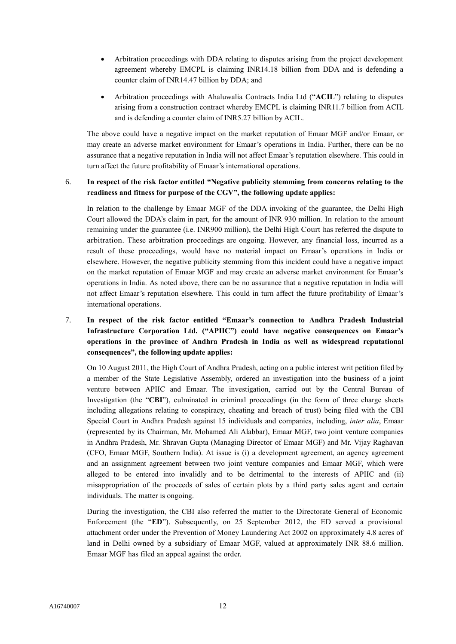- Arbitration proceedings with DDA relating to disputes arising from the project development agreement whereby EMCPL is claiming INR14.18 billion from DDA and is defending a counter claim of INR14.47 billion by DDA; and
- Arbitration proceedings with Ahaluwalia Contracts India Ltd ("**ACIL**") relating to disputes arising from a construction contract whereby EMCPL is claiming INR11.7 billion from ACIL and is defending a counter claim of INR5.27 billion by ACIL.

The above could have a negative impact on the market reputation of Emaar MGF and/or Emaar, or may create an adverse market environment for Emaar's operations in India. Further, there can be no assurance that a negative reputation in India will not affect Emaar's reputation elsewhere. This could in turn affect the future profitability of Emaar's international operations.

#### 6. **In respect of the risk factor entitled "Negative publicity stemming from concerns relating to the readiness and fitness for purpose of the CGV", the following update applies:**

In relation to the challenge by Emaar MGF of the DDA invoking of the guarantee, the Delhi High Court allowed the DDA's claim in part, for the amount of INR 930 million. In relation to the amount remaining under the guarantee (i.e. INR900 million), the Delhi High Court has referred the dispute to arbitration. These arbitration proceedings are ongoing. However, any financial loss, incurred as a result of these proceedings, would have no material impact on Emaar's operations in India or elsewhere. However, the negative publicity stemming from this incident could have a negative impact on the market reputation of Emaar MGF and may create an adverse market environment for Emaar's operations in India. As noted above, there can be no assurance that a negative reputation in India will not affect Emaar's reputation elsewhere. This could in turn affect the future profitability of Emaar's international operations.

## 7. **In respect of the risk factor entitled "Emaar's connection to Andhra Pradesh Industrial Infrastructure Corporation Ltd. ("APIIC") could have negative consequences on Emaar's operations in the province of Andhra Pradesh in India as well as widespread reputational consequences", the following update applies:**

On 10 August 2011, the High Court of Andhra Pradesh, acting on a public interest writ petition filed by a member of the State Legislative Assembly, ordered an investigation into the business of a joint venture between APIIC and Emaar. The investigation, carried out by the Central Bureau of Investigation (the "**CBI**"), culminated in criminal proceedings (in the form of three charge sheets including allegations relating to conspiracy, cheating and breach of trust) being filed with the CBI Special Court in Andhra Pradesh against 15 individuals and companies, including, *inter alia*, Emaar (represented by its Chairman, Mr. Mohamed Ali Alabbar), Emaar MGF, two joint venture companies in Andhra Pradesh, Mr. Shravan Gupta (Managing Director of Emaar MGF) and Mr. Vijay Raghavan (CFO, Emaar MGF, Southern India). At issue is (i) a development agreement, an agency agreement and an assignment agreement between two joint venture companies and Emaar MGF, which were alleged to be entered into invalidly and to be detrimental to the interests of APIIC and (ii) misappropriation of the proceeds of sales of certain plots by a third party sales agent and certain individuals. The matter is ongoing.

During the investigation, the CBI also referred the matter to the Directorate General of Economic Enforcement (the "**ED**"). Subsequently, on 25 September 2012, the ED served a provisional attachment order under the Prevention of Money Laundering Act 2002 on approximately 4.8 acres of land in Delhi owned by a subsidiary of Emaar MGF, valued at approximately INR 88.6 million. Emaar MGF has filed an appeal against the order.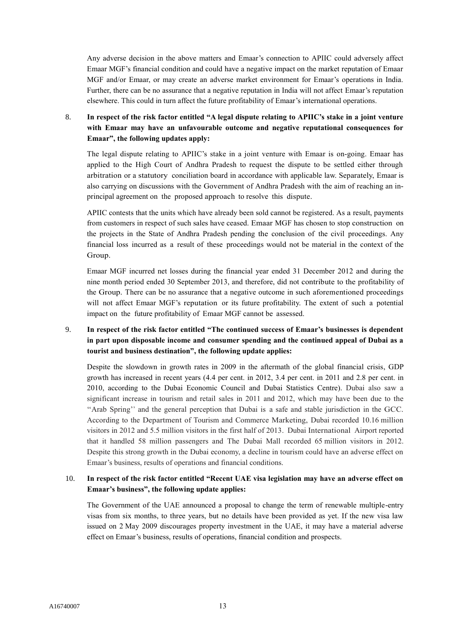Any adverse decision in the above matters and Emaar's connection to APIIC could adversely affect Emaar MGF's financial condition and could have a negative impact on the market reputation of Emaar MGF and/or Emaar, or may create an adverse market environment for Emaar's operations in India. Further, there can be no assurance that a negative reputation in India will not affect Emaar's reputation elsewhere. This could in turn affect the future profitability of Emaar's international operations.

## 8. **In respect of the risk factor entitled "A legal dispute relating to APIIC's stake in a joint venture with Emaar may have an unfavourable outcome and negative reputational consequences for Emaar", the following updates apply:**

The legal dispute relating to APIIC's stake in a joint venture with Emaar is on-going. Emaar has applied to the High Court of Andhra Pradesh to request the dispute to be settled either through arbitration or a statutory conciliation board in accordance with applicable law. Separately, Emaar is also carrying on discussions with the Government of Andhra Pradesh with the aim of reaching an inprincipal agreement on the proposed approach to resolve this dispute.

APIIC contests that the units which have already been sold cannot be registered. As a result, payments from customers in respect of such sales have ceased. Emaar MGF has chosen to stop construction on the projects in the State of Andhra Pradesh pending the conclusion of the civil proceedings. Any financial loss incurred as a result of these proceedings would not be material in the context of the Group.

Emaar MGF incurred net losses during the financial year ended 31 December 2012 and during the nine month period ended 30 September 2013, and therefore, did not contribute to the profitability of the Group. There can be no assurance that a negative outcome in such aforementioned proceedings will not affect Emaar MGF's reputation or its future profitability. The extent of such a potential impact on the future profitability of Emaar MGF cannot be assessed.

## 9. **In respect of the risk factor entitled "The continued success of Emaar's businesses is dependent in part upon disposable income and consumer spending and the continued appeal of Dubai as a tourist and business destination", the following update applies:**

Despite the slowdown in growth rates in 2009 in the aftermath of the global financial crisis, GDP growth has increased in recent years (4.4 per cent. in 2012, 3.4 per cent. in 2011 and 2.8 per cent. in 2010, according to the Dubai Economic Council and Dubai Statistics Centre). Dubai also saw a significant increase in tourism and retail sales in 2011 and 2012, which may have been due to the ''Arab Spring'' and the general perception that Dubai is a safe and stable jurisdiction in the GCC. According to the Department of Tourism and Commerce Marketing, Dubai recorded 10.16 million visitors in 2012 and 5.5 million visitors in the first half of 2013. Dubai International Airport reported that it handled 58 million passengers and The Dubai Mall recorded 65 million visitors in 2012. Despite this strong growth in the Dubai economy, a decline in tourism could have an adverse effect on Emaar's business, results of operations and financial conditions.

## 10. **In respect of the risk factor entitled "Recent UAE visa legislation may have an adverse effect on Emaar's business", the following update applies:**

The Government of the UAE announced a proposal to change the term of renewable multiple-entry visas from six months, to three years, but no details have been provided as yet. If the new visa law issued on 2 May 2009 discourages property investment in the UAE, it may have a material adverse effect on Emaar's business, results of operations, financial condition and prospects.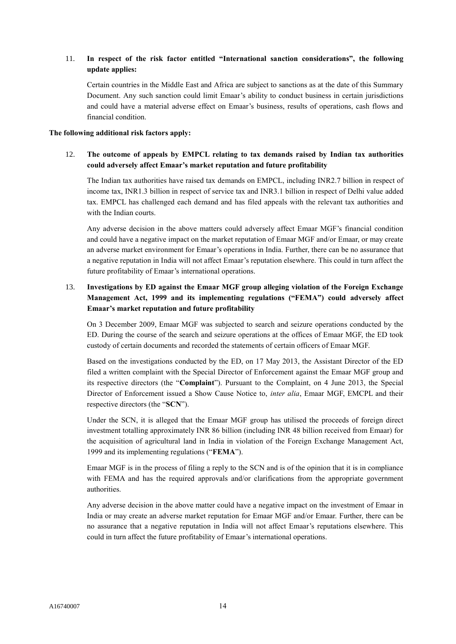## 11. **In respect of the risk factor entitled "International sanction considerations", the following update applies:**

Certain countries in the Middle East and Africa are subject to sanctions as at the date of this Summary Document. Any such sanction could limit Emaar's ability to conduct business in certain jurisdictions and could have a material adverse effect on Emaar's business, results of operations, cash flows and financial condition.

#### **The following additional risk factors apply:**

## 12. **The outcome of appeals by EMPCL relating to tax demands raised by Indian tax authorities could adversely affect Emaar's market reputation and future profitability**

The Indian tax authorities have raised tax demands on EMPCL, including INR2.7 billion in respect of income tax, INR1.3 billion in respect of service tax and INR3.1 billion in respect of Delhi value added tax. EMPCL has challenged each demand and has filed appeals with the relevant tax authorities and with the Indian courts.

Any adverse decision in the above matters could adversely affect Emaar MGF's financial condition and could have a negative impact on the market reputation of Emaar MGF and/or Emaar, or may create an adverse market environment for Emaar's operations in India. Further, there can be no assurance that a negative reputation in India will not affect Emaar's reputation elsewhere. This could in turn affect the future profitability of Emaar's international operations.

## 13. **Investigations by ED against the Emaar MGF group alleging violation of the Foreign Exchange Management Act, 1999 and its implementing regulations ("FEMA") could adversely affect Emaar's market reputation and future profitability**

On 3 December 2009, Emaar MGF was subjected to search and seizure operations conducted by the ED. During the course of the search and seizure operations at the offices of Emaar MGF, the ED took custody of certain documents and recorded the statements of certain officers of Emaar MGF.

Based on the investigations conducted by the ED, on 17 May 2013, the Assistant Director of the ED filed a written complaint with the Special Director of Enforcement against the Emaar MGF group and its respective directors (the "**Complaint**"). Pursuant to the Complaint, on 4 June 2013, the Special Director of Enforcement issued a Show Cause Notice to, *inter alia*, Emaar MGF, EMCPL and their respective directors (the "**SCN**").

Under the SCN, it is alleged that the Emaar MGF group has utilised the proceeds of foreign direct investment totalling approximately INR 86 billion (including INR 48 billion received from Emaar) for the acquisition of agricultural land in India in violation of the Foreign Exchange Management Act, 1999 and its implementing regulations ("**FEMA**").

Emaar MGF is in the process of filing a reply to the SCN and is of the opinion that it is in compliance with FEMA and has the required approvals and/or clarifications from the appropriate government authorities.

Any adverse decision in the above matter could have a negative impact on the investment of Emaar in India or may create an adverse market reputation for Emaar MGF and/or Emaar. Further, there can be no assurance that a negative reputation in India will not affect Emaar's reputations elsewhere. This could in turn affect the future profitability of Emaar's international operations.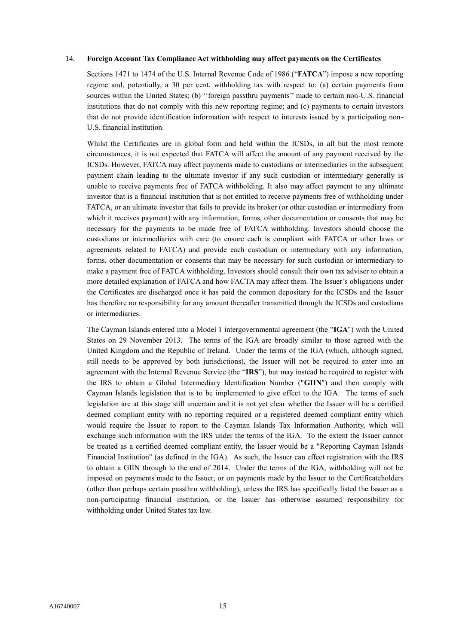#### 14. **Foreign Account Tax Compliance Act withholding may affect payments on the Certificates**

Sections 1471 to 1474 of the U.S. Internal Revenue Code of 1986 ("**FATCA**") impose a new reporting regime and, potentially, a 30 per cent. withholding tax with respect to: (a) certain payments from sources within the United States; (b) ''foreign passthru payments'' made to certain non-U.S. financial institutions that do not comply with this new reporting regime; and (c) payments to certain investors that do not provide identification information with respect to interests issued by a participating non-U.S. financial institution.

Whilst the Certificates are in global form and held within the ICSDs, in all but the most remote circumstances, it is not expected that FATCA will affect the amount of any payment received by the ICSDs. However, FATCA may affect payments made to custodians or intermediaries in the subsequent payment chain leading to the ultimate investor if any such custodian or intermediary generally is unable to receive payments free of FATCA withholding. It also may affect payment to any ultimate investor that is a financial institution that is not entitled to receive payments free of withholding under FATCA, or an ultimate investor that fails to provide its broker (or other custodian or intermediary from which it receives payment) with any information, forms, other documentation or consents that may be necessary for the payments to be made free of FATCA withholding. Investors should choose the custodians or intermediaries with care (to ensure each is compliant with FATCA or other laws or agreements related to FATCA) and provide each custodian or intermediary with any information, forms, other documentation or consents that may be necessary for such custodian or intermediary to make a payment free of FATCA withholding. Investors should consult their own tax adviser to obtain a more detailed explanation of FATCA and how FACTA may affect them. The Issuer's obligations under the Certificates are discharged once it has paid the common depositary for the ICSDs and the Issuer has therefore no responsibility for any amount thereafter transmitted through the ICSDs and custodians or intermediaries.

The Cayman Islands entered into a Model 1 intergovernmental agreement (the "**IGA**") with the United States on 29 November 2013. The terms of the IGA are broadly similar to those agreed with the United Kingdom and the Republic of Ireland. Under the terms of the IGA (which, although signed, still needs to be approved by both jurisdictions), the Issuer will not be required to enter into an agreement with the Internal Revenue Service (the "**IRS**"), but may instead be required to register with the IRS to obtain a Global Intermediary Identification Number ("**GIIN**") and then comply with Cayman Islands legislation that is to be implemented to give effect to the IGA. The terms of such legislation are at this stage still uncertain and it is not yet clear whether the Issuer will be a certified deemed compliant entity with no reporting required or a registered deemed compliant entity which would require the Issuer to report to the Cayman Islands Tax Information Authority, which will exchange such information with the IRS under the terms of the IGA. To the extent the Issuer cannot be treated as a certified deemed compliant entity, the Issuer would be a "Reporting Cayman Islands Financial Institution" (as defined in the IGA). As such, the Issuer can effect registration with the IRS to obtain a GIIN through to the end of 2014. Under the terms of the IGA, withholding will not be imposed on payments made to the Issuer, or on payments made by the Issuer to the Certificateholders (other than perhaps certain passthru withholding), unless the IRS has specifically listed the Issuer as a non-participating financial institution, or the Issuer has otherwise assumed responsibility for withholding under United States tax law.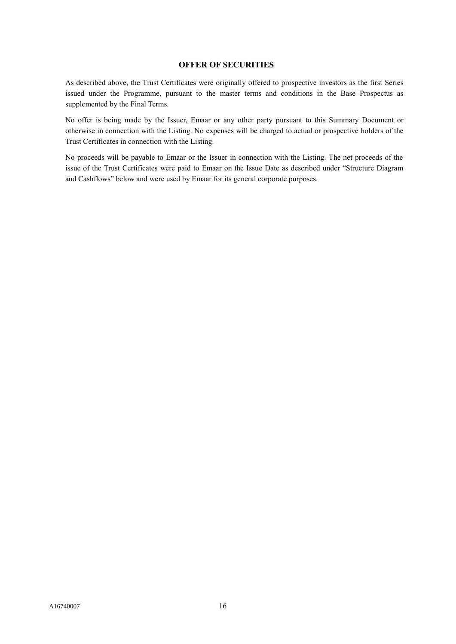#### **OFFER OF SECURITIES**

As described above, the Trust Certificates were originally offered to prospective investors as the first Series issued under the Programme, pursuant to the master terms and conditions in the Base Prospectus as supplemented by the Final Terms.

No offer is being made by the Issuer, Emaar or any other party pursuant to this Summary Document or otherwise in connection with the Listing. No expenses will be charged to actual or prospective holders of the Trust Certificates in connection with the Listing.

No proceeds will be payable to Emaar or the Issuer in connection with the Listing. The net proceeds of the issue of the Trust Certificates were paid to Emaar on the Issue Date as described under "Structure Diagram and Cashflows" below and were used by Emaar for its general corporate purposes.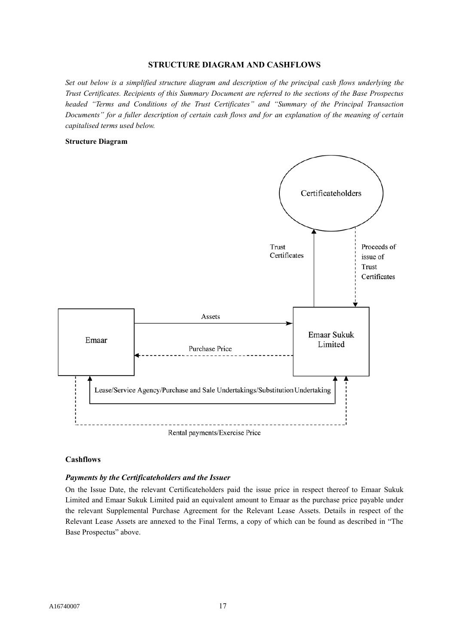#### **STRUCTURE DIAGRAM AND CASHFLOWS**

*Set out below is a simplified structure diagram and description of the principal cash flows underlying the Trust Certificates. Recipients of this Summary Document are referred to the sections of the Base Prospectus headed "Terms and Conditions of the Trust Certificates" and "Summary of the Principal Transaction Documents" for a fuller description of certain cash flows and for an explanation of the meaning of certain capitalised terms used below.*

### **Structure Diagram**



#### **Cashflows**

#### *Payments by the Certificateholders and the Issuer*

On the Issue Date, the relevant Certificateholders paid the issue price in respect thereof to Emaar Sukuk Limited and Emaar Sukuk Limited paid an equivalent amount to Emaar as the purchase price payable under the relevant Supplemental Purchase Agreement for the Relevant Lease Assets. Details in respect of the Relevant Lease Assets are annexed to the Final Terms, a copy of which can be found as described in "The Base Prospectus" above.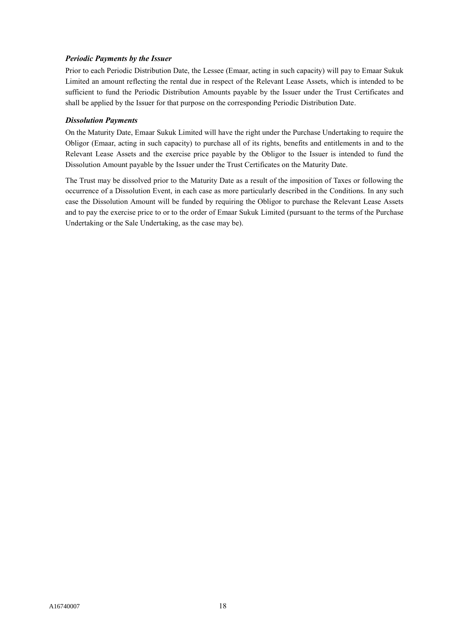## *Periodic Payments by the Issuer*

Prior to each Periodic Distribution Date, the Lessee (Emaar, acting in such capacity) will pay to Emaar Sukuk Limited an amount reflecting the rental due in respect of the Relevant Lease Assets, which is intended to be sufficient to fund the Periodic Distribution Amounts payable by the Issuer under the Trust Certificates and shall be applied by the Issuer for that purpose on the corresponding Periodic Distribution Date.

## *Dissolution Payments*

On the Maturity Date, Emaar Sukuk Limited will have the right under the Purchase Undertaking to require the Obligor (Emaar, acting in such capacity) to purchase all of its rights, benefits and entitlements in and to the Relevant Lease Assets and the exercise price payable by the Obligor to the Issuer is intended to fund the Dissolution Amount payable by the Issuer under the Trust Certificates on the Maturity Date.

The Trust may be dissolved prior to the Maturity Date as a result of the imposition of Taxes or following the occurrence of a Dissolution Event, in each case as more particularly described in the Conditions. In any such case the Dissolution Amount will be funded by requiring the Obligor to purchase the Relevant Lease Assets and to pay the exercise price to or to the order of Emaar Sukuk Limited (pursuant to the terms of the Purchase Undertaking or the Sale Undertaking, as the case may be).